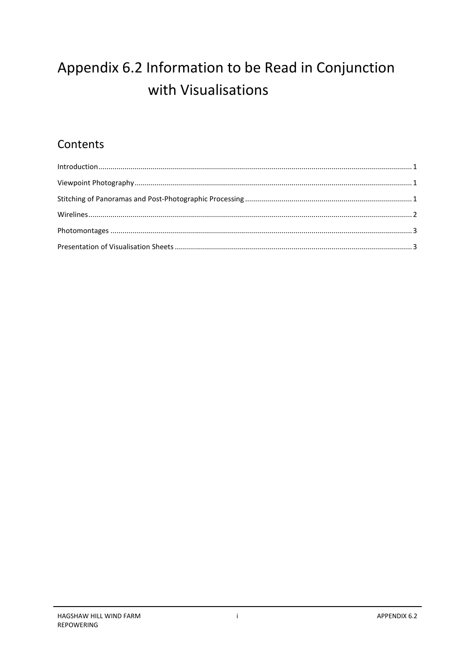# Appendix 6.2 Information to be Read in Conjunction with Visualisations

# Contents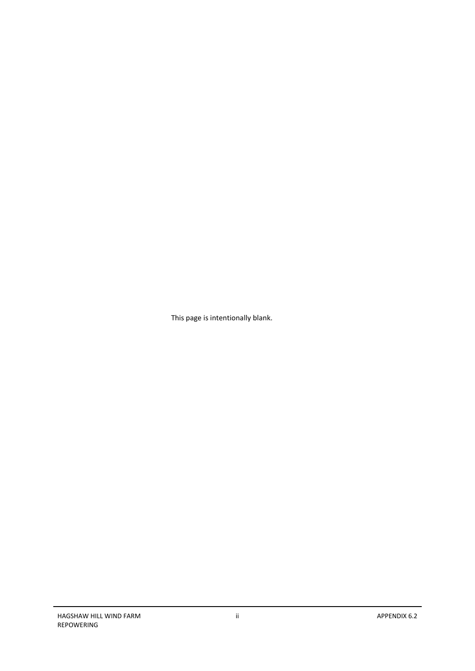This page is intentionally blank.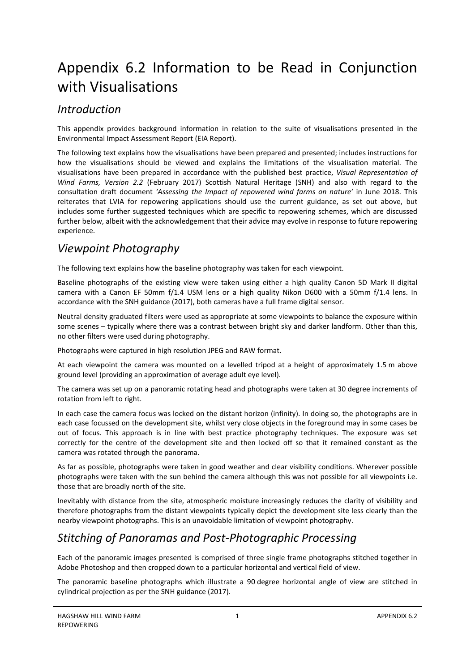# Appendix 6.2 Information to be Read in Conjunction with Visualisations

## <span id="page-2-0"></span>*Introduction*

This appendix provides background information in relation to the suite of visualisations presented in the Environmental Impact Assessment Report (EIA Report).

The following text explains how the visualisations have been prepared and presented; includes instructions for how the visualisations should be viewed and explains the limitations of the visualisation material. The visualisations have been prepared in accordance with the published best practice, *Visual Representation of Wind Farms, Version 2.2* (February 2017) Scottish Natural Heritage (SNH) and also with regard to the consultation draft document *'Assessing the Impact of repowered wind farms on nature'* in June 2018. This reiterates that LVIA for repowering applications should use the current guidance, as set out above, but includes some further suggested techniques which are specific to repowering schemes, which are discussed further below, albeit with the acknowledgement that their advice may evolve in response to future repowering experience.

## <span id="page-2-1"></span>*Viewpoint Photography*

The following text explains how the baseline photography was taken for each viewpoint.

Baseline photographs of the existing view were taken using either a high quality Canon 5D Mark II digital camera with a Canon EF 50mm f/1.4 USM lens or a high quality Nikon D600 with a 50mm f/1.4 lens. In accordance with the SNH guidance (2017), both cameras have a full frame digital sensor.

Neutral density graduated filters were used as appropriate at some viewpoints to balance the exposure within some scenes – typically where there was a contrast between bright sky and darker landform. Other than this, no other filters were used during photography.

Photographs were captured in high resolution JPEG and RAW format.

At each viewpoint the camera was mounted on a levelled tripod at a height of approximately 1.5 m above ground level (providing an approximation of average adult eye level).

The camera was set up on a panoramic rotating head and photographs were taken at 30 degree increments of rotation from left to right.

In each case the camera focus was locked on the distant horizon (infinity). In doing so, the photographs are in each case focussed on the development site, whilst very close objects in the foreground may in some cases be out of focus. This approach is in line with best practice photography techniques. The exposure was set correctly for the centre of the development site and then locked off so that it remained constant as the camera was rotated through the panorama.

As far as possible, photographs were taken in good weather and clear visibility conditions. Wherever possible photographs were taken with the sun behind the camera although this was not possible for all viewpoints i.e. those that are broadly north of the site.

Inevitably with distance from the site, atmospheric moisture increasingly reduces the clarity of visibility and therefore photographs from the distant viewpoints typically depict the development site less clearly than the nearby viewpoint photographs. This is an unavoidable limitation of viewpoint photography.

# <span id="page-2-2"></span>*Stitching of Panoramas and Post-Photographic Processing*

Each of the panoramic images presented is comprised of three single frame photographs stitched together in Adobe Photoshop and then cropped down to a particular horizontal and vertical field of view.

The panoramic baseline photographs which illustrate a 90 degree horizontal angle of view are stitched in cylindrical projection as per the SNH guidance (2017).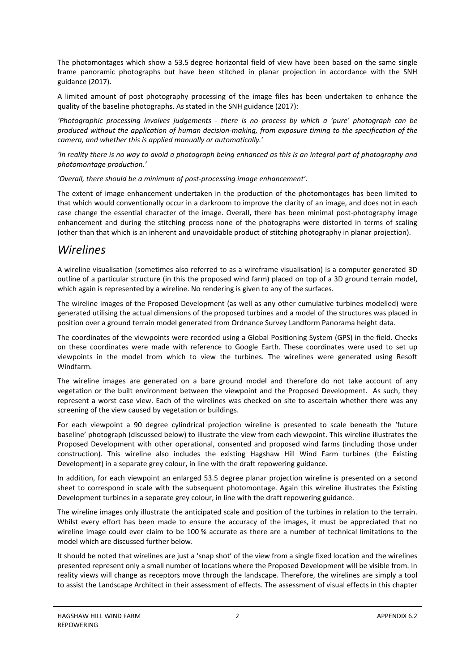The photomontages which show a 53.5 degree horizontal field of view have been based on the same single frame panoramic photographs but have been stitched in planar projection in accordance with the SNH guidance (2017).

A limited amount of post photography processing of the image files has been undertaken to enhance the quality of the baseline photographs. As stated in the SNH guidance (2017):

*'Photographic processing involves judgements - there is no process by which a 'pure' photograph can be produced without the application of human decision-making, from exposure timing to the specification of the camera, and whether this is applied manually or automatically.'*

*'In reality there is no way to avoid a photograph being enhanced as this is an integral part of photography and photomontage production.'* 

*'Overall, there should be a minimum of post-processing image enhancement'.*

The extent of image enhancement undertaken in the production of the photomontages has been limited to that which would conventionally occur in a darkroom to improve the clarity of an image, and does not in each case change the essential character of the image. Overall, there has been minimal post-photography image enhancement and during the stitching process none of the photographs were distorted in terms of scaling (other than that which is an inherent and unavoidable product of stitching photography in planar projection).

### <span id="page-3-0"></span>*Wirelines*

A wireline visualisation (sometimes also referred to as a wireframe visualisation) is a computer generated 3D outline of a particular structure (in this the proposed wind farm) placed on top of a 3D ground terrain model, which again is represented by a wireline. No rendering is given to any of the surfaces.

The wireline images of the Proposed Development (as well as any other cumulative turbines modelled) were generated utilising the actual dimensions of the proposed turbines and a model of the structures was placed in position over a ground terrain model generated from Ordnance Survey Landform Panorama height data.

The coordinates of the viewpoints were recorded using a Global Positioning System (GPS) in the field. Checks on these coordinates were made with reference to Google Earth. These coordinates were used to set up viewpoints in the model from which to view the turbines. The wirelines were generated using Resoft Windfarm.

The wireline images are generated on a bare ground model and therefore do not take account of any vegetation or the built environment between the viewpoint and the Proposed Development. As such, they represent a worst case view. Each of the wirelines was checked on site to ascertain whether there was any screening of the view caused by vegetation or buildings.

For each viewpoint a 90 degree cylindrical projection wireline is presented to scale beneath the 'future baseline' photograph (discussed below) to illustrate the view from each viewpoint. This wireline illustrates the Proposed Development with other operational, consented and proposed wind farms (including those under construction). This wireline also includes the existing Hagshaw Hill Wind Farm turbines (the Existing Development) in a separate grey colour, in line with the draft repowering guidance.

In addition, for each viewpoint an enlarged 53.5 degree planar projection wireline is presented on a second sheet to correspond in scale with the subsequent photomontage. Again this wireline illustrates the Existing Development turbines in a separate grey colour, in line with the draft repowering guidance.

The wireline images only illustrate the anticipated scale and position of the turbines in relation to the terrain. Whilst every effort has been made to ensure the accuracy of the images, it must be appreciated that no wireline image could ever claim to be 100 % accurate as there are a number of technical limitations to the model which are discussed further below.

It should be noted that wirelines are just a 'snap shot' of the view from a single fixed location and the wirelines presented represent only a small number of locations where the Proposed Development will be visible from. In reality views will change as receptors move through the landscape. Therefore, the wirelines are simply a tool to assist the Landscape Architect in their assessment of effects. The assessment of visual effects in this chapter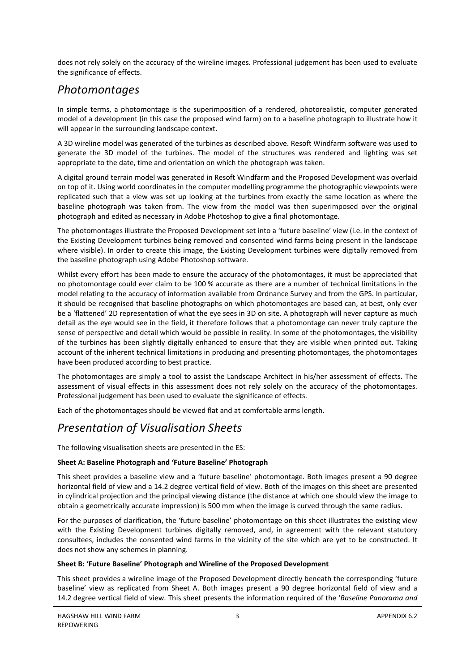does not rely solely on the accuracy of the wireline images. Professional judgement has been used to evaluate the significance of effects.

### <span id="page-4-0"></span>*Photomontages*

In simple terms, a photomontage is the superimposition of a rendered, photorealistic, computer generated model of a development (in this case the proposed wind farm) on to a baseline photograph to illustrate how it will appear in the surrounding landscape context.

A 3D wireline model was generated of the turbines as described above. Resoft Windfarm software was used to generate the 3D model of the turbines. The model of the structures was rendered and lighting was set appropriate to the date, time and orientation on which the photograph was taken.

A digital ground terrain model was generated in Resoft Windfarm and the Proposed Development was overlaid on top of it. Using world coordinates in the computer modelling programme the photographic viewpoints were replicated such that a view was set up looking at the turbines from exactly the same location as where the baseline photograph was taken from. The view from the model was then superimposed over the original photograph and edited as necessary in Adobe Photoshop to give a final photomontage.

The photomontages illustrate the Proposed Development set into a 'future baseline' view (i.e. in the context of the Existing Development turbines being removed and consented wind farms being present in the landscape where visible). In order to create this image, the Existing Development turbines were digitally removed from the baseline photograph using Adobe Photoshop software.

Whilst every effort has been made to ensure the accuracy of the photomontages, it must be appreciated that no photomontage could ever claim to be 100 % accurate as there are a number of technical limitations in the model relating to the accuracy of information available from Ordnance Survey and from the GPS. In particular, it should be recognised that baseline photographs on which photomontages are based can, at best, only ever be a 'flattened' 2D representation of what the eye sees in 3D on site. A photograph will never capture as much detail as the eye would see in the field, it therefore follows that a photomontage can never truly capture the sense of perspective and detail which would be possible in reality. In some of the photomontages, the visibility of the turbines has been slightly digitally enhanced to ensure that they are visible when printed out. Taking account of the inherent technical limitations in producing and presenting photomontages, the photomontages have been produced according to best practice.

The photomontages are simply a tool to assist the Landscape Architect in his/her assessment of effects. The assessment of visual effects in this assessment does not rely solely on the accuracy of the photomontages. Professional judgement has been used to evaluate the significance of effects.

Each of the photomontages should be viewed flat and at comfortable arms length.

## <span id="page-4-1"></span>*Presentation of Visualisation Sheets*

The following visualisation sheets are presented in the ES:

#### **Sheet A: Baseline Photograph and 'Future Baseline' Photograph**

This sheet provides a baseline view and a 'future baseline' photomontage. Both images present a 90 degree horizontal field of view and a 14.2 degree vertical field of view. Both of the images on this sheet are presented in cylindrical projection and the principal viewing distance (the distance at which one should view the image to obtain a geometrically accurate impression) is 500 mm when the image is curved through the same radius.

For the purposes of clarification, the 'future baseline' photomontage on this sheet illustrates the existing view with the Existing Development turbines digitally removed, and, in agreement with the relevant statutory consultees, includes the consented wind farms in the vicinity of the site which are yet to be constructed. It does not show any schemes in planning.

#### **Sheet B: 'Future Baseline' Photograph and Wireline of the Proposed Development**

This sheet provides a wireline image of the Proposed Development directly beneath the corresponding 'future baseline' view as replicated from Sheet A. Both images present a 90 degree horizontal field of view and a 14.2 degree vertical field of view. This sheet presents the information required of the '*Baseline Panorama and*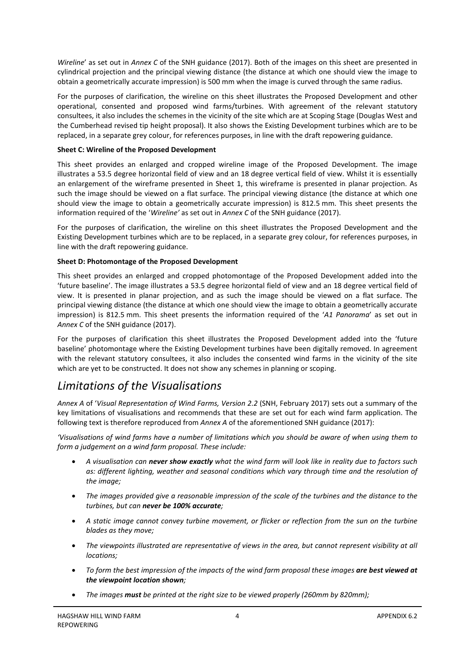*Wireline*' as set out in *Annex C* of the SNH guidance (2017). Both of the images on this sheet are presented in cylindrical projection and the principal viewing distance (the distance at which one should view the image to obtain a geometrically accurate impression) is 500 mm when the image is curved through the same radius.

For the purposes of clarification, the wireline on this sheet illustrates the Proposed Development and other operational, consented and proposed wind farms/turbines. With agreement of the relevant statutory consultees, it also includes the schemes in the vicinity of the site which are at Scoping Stage (Douglas West and the Cumberhead revised tip height proposal). It also shows the Existing Development turbines which are to be replaced, in a separate grey colour, for references purposes, in line with the draft repowering guidance.

#### **Sheet C: Wireline of the Proposed Development**

This sheet provides an enlarged and cropped wireline image of the Proposed Development. The image illustrates a 53.5 degree horizontal field of view and an 18 degree vertical field of view. Whilst it is essentially an enlargement of the wireframe presented in Sheet 1, this wireframe is presented in planar projection. As such the image should be viewed on a flat surface. The principal viewing distance (the distance at which one should view the image to obtain a geometrically accurate impression) is 812.5 mm. This sheet presents the information required of the '*Wireline'* as set out in *Annex C* of the SNH guidance (2017).

For the purposes of clarification, the wireline on this sheet illustrates the Proposed Development and the Existing Development turbines which are to be replaced, in a separate grey colour, for references purposes, in line with the draft repowering guidance.

#### **Sheet D: Photomontage of the Proposed Development**

This sheet provides an enlarged and cropped photomontage of the Proposed Development added into the 'future baseline'. The image illustrates a 53.5 degree horizontal field of view and an 18 degree vertical field of view. It is presented in planar projection, and as such the image should be viewed on a flat surface. The principal viewing distance (the distance at which one should view the image to obtain a geometrically accurate impression) is 812.5 mm. This sheet presents the information required of the '*A1 Panorama*' as set out in *Annex C* of the SNH guidance (2017).

For the purposes of clarification this sheet illustrates the Proposed Development added into the 'future baseline' photomontage where the Existing Development turbines have been digitally removed. In agreement with the relevant statutory consultees, it also includes the consented wind farms in the vicinity of the site which are yet to be constructed. It does not show any schemes in planning or scoping.

## *Limitations of the Visualisations*

*Annex A* of '*Visual Representation of Wind Farms, Version 2.2* (SNH, February 2017) sets out a summary of the key limitations of visualisations and recommends that these are set out for each wind farm application. The following text is therefore reproduced from *Annex A* of the aforementioned SNH guidance (2017):

*'Visualisations of wind farms have a number of limitations which you should be aware of when using them to form a judgement on a wind farm proposal. These include:* 

- *A visualisation can never show exactly what the wind farm will look like in reality due to factors such as: different lighting, weather and seasonal conditions which vary through time and the resolution of the image;*
- *The images provided give a reasonable impression of the scale of the turbines and the distance to the turbines, but can never be 100% accurate;*
- *A static image cannot convey turbine movement, or flicker or reflection from the sun on the turbine blades as they move;*
- *The viewpoints illustrated are representative of views in the area, but cannot represent visibility at all locations;*
- *To form the best impression of the impacts of the wind farm proposal these images are best viewed at the viewpoint location shown;*
- *The images must be printed at the right size to be viewed properly (260mm by 820mm);*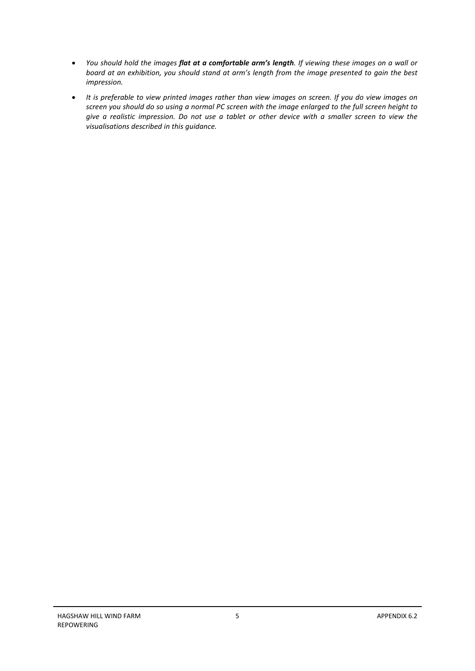- *You should hold the images flat at a comfortable arm's length. If viewing these images on a wall or board at an exhibition, you should stand at arm's length from the image presented to gain the best impression.*
- *It is preferable to view printed images rather than view images on screen. If you do view images on screen you should do so using a normal PC screen with the image enlarged to the full screen height to give a realistic impression. Do not use a tablet or other device with a smaller screen to view the visualisations described in this guidance.*